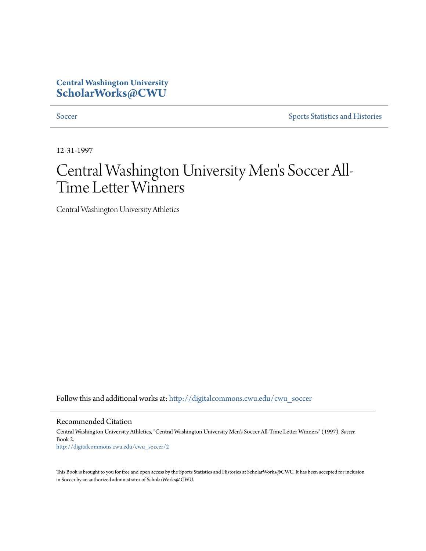## **Central Washington University [ScholarWorks@CWU](http://digitalcommons.cwu.edu?utm_source=digitalcommons.cwu.edu%2Fcwu_soccer%2F2&utm_medium=PDF&utm_campaign=PDFCoverPages)**

[Soccer](http://digitalcommons.cwu.edu/cwu_soccer?utm_source=digitalcommons.cwu.edu%2Fcwu_soccer%2F2&utm_medium=PDF&utm_campaign=PDFCoverPages) [Sports Statistics and Histories](http://digitalcommons.cwu.edu/cwu_sports_statistics?utm_source=digitalcommons.cwu.edu%2Fcwu_soccer%2F2&utm_medium=PDF&utm_campaign=PDFCoverPages)

12-31-1997

## Central Washington University Men 's Soccer All-Time Letter Winners

Central Washington University Athletics

Follow this and additional works at: [http://digitalcommons.cwu.edu/cwu\\_soccer](http://digitalcommons.cwu.edu/cwu_soccer?utm_source=digitalcommons.cwu.edu%2Fcwu_soccer%2F2&utm_medium=PDF&utm_campaign=PDFCoverPages)

Recommended Citation

Central Washington University Athletics, "Central Washington University Men's Soccer All-Time Letter Winners" (1997). *Soccer.* Book 2. [http://digitalcommons.cwu.edu/cwu\\_soccer/2](http://digitalcommons.cwu.edu/cwu_soccer/2?utm_source=digitalcommons.cwu.edu%2Fcwu_soccer%2F2&utm_medium=PDF&utm_campaign=PDFCoverPages)

This Book is brought to you for free and open access by the Sports Statistics and Histories at ScholarWorks@CWU. It has been accepted for inclusion in Soccer by an authorized administrator of ScholarWorks@CWU.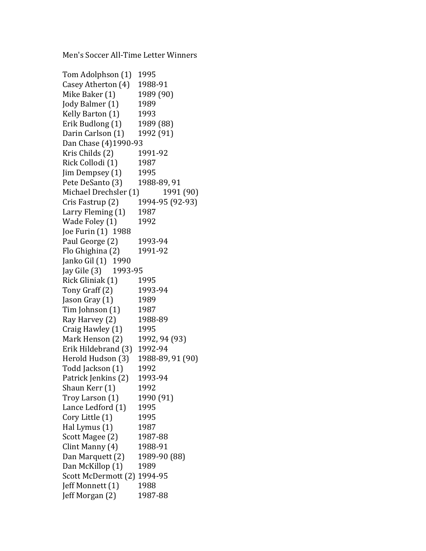Men's Soccer All-Time Letter Winners

Tom Adolphson (1) 1995 Casey Atherton (4) 1988-91 Mike Baker (1) 1989 (90) Jody Balmer (1) 1989 Kelly Barton (1) 1993 Erik Budlong (1) 1989 (88) Darin Carlson (1) 1992 (91) Dan Chase (4)1990-93 Kris Childs (2) 1991-92 Rick Collodi (1) 1987  $\text{lim Dempsev (1)}$  1995 Pete DeSanto (3) 1988-89, 91 Michael Drechsler (1) 1991 (90)  $Cris Fastrup (2) 1994-95 (92-93)$ Larry Fleming  $(1)$  1987 Wade Foley (1) 1992 Joe Furin (1) 1988 Paul George (2) 1993-94 Flo Ghighina (2) 1991-92 Janko Gil (1) 1990 Jay Gile (3) 1993-95 Rick Gliniak (1) 1995 Tony Graff (2) 1993-94  $\text{lason}$  Gray  $(1)$  1989  $Tim Johnson(1)$  1987 Ray Harvey (2) 1988-89 Craig Hawley (1) 1995 Mark Henson (2) 1992, 94 (93) Erik Hildebrand (3) 1992-94 Herold Hudson (3) 1988-89, 91 (90) Todd Jackson (1) 1992 Patrick Jenkins (2) 1993-94 Shaun Kerr (1) 1992  $Troy$  Larson  $(1)$  1990  $(91)$ Lance Ledford (1) 1995  $Cory$  Little  $(1)$  1995 Hal Lymus  $(1)$  1987 Scott Magee (2) 1987-88  $Clint$  Manny  $(4)$  1988-91 Dan Marquett (2) 1989-90 (88) Dan McKillop (1) 1989 Scott McDermott (2) 1994-95 Jeff Monnett (1) 1988  $\text{left Morgan (2)} \qquad 1987-88$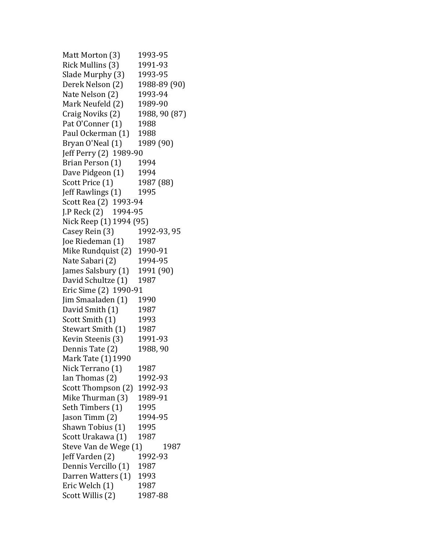Matt Morton (3) 1993-95 Rick Mullins (3) 1991-93 Slade Murphy (3) 1993-95 Derek Nelson (2) 1988-89 (90) Nate Nelson (2) 1993-94 Mark Neufeld (2) 1989-90 Craig Noviks (2) 1988, 90 (87) Pat O'Conner (1) 1988 Paul Ockerman (1) 1988 Bryan O'Neal (1) 1989 (90) Jeff Perry (2) 1989-90 Brian Person (1) 1994 Dave Pidgeon (1) 1994 Scott Price (1) 1987 (88) Ieff Rawlings (1) 1995 Scott Rea (2) 1993-94 J.P Reck (2) 1994-95 Nick Reep (1) 1994 (95) Casey Rein (3) 1992-93, 95 Joe Riedeman (1) 1987 Mike Rundquist (2) 1990-91 Nate Sabari (2) 1994-95 James Salsbury  $(1)$  1991 $(90)$ David Schultze (1) 1987 Eric Sime (2) 1990-91 Jim Smaaladen (1) 1990 David Smith (1) 1987 Scott Smith (1) 1993 Stewart Smith (1) 1987 Kevin Steenis (3) 1991-93 Dennis Tate (2) 1988, 90 Mark Tate (1) 1990 Nick Terrano (1) 1987 Ian Thomas (2) 1992-93 Scott Thompson (2) 1992-93 Mike Thurman (3) 1989-91 Seth Timbers (1) 1995 Jason Timm (2) 1994-95 Shawn Tobius (1) 1995 Scott Urakawa (1) 1987 Steve Van de Wege (1) 1987 **Jeff Varden (2)** 1992-93 Dennis Vercillo (1) 1987 Darren Watters (1) 1993 Eric Welch (1) 1987 Scott Willis (2) 1987-88